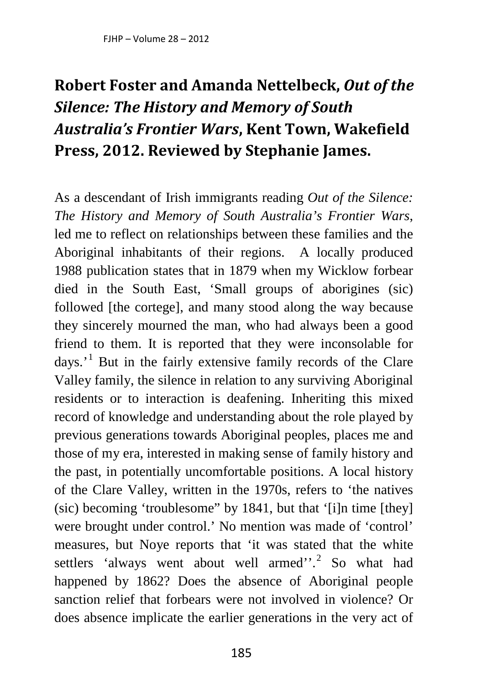## **Robert Foster and Amanda Nettelbeck,** *Out of the Silence: The History and Memory of South Australia's Frontier Wars***, Kent Town, Wakefield Press, 2012. Reviewed by Stephanie James.**

As a descendant of Irish immigrants reading *Out of the Silence: The History and Memory of South Australia's Frontier Wars*, led me to reflect on relationships between these families and the Aboriginal inhabitants of their regions. A locally produced 1988 publication states that in 1879 when my Wicklow forbear died in the South East, 'Small groups of aborigines (sic) followed [the cortege], and many stood along the way because they sincerely mourned the man, who had always been a good friend to them. It is reported that they were inconsolable for  $days.<sup>1</sup>$  $days.<sup>1</sup>$  $days.<sup>1</sup>$  But in the fairly extensive family records of the Clare Valley family, the silence in relation to any surviving Aboriginal residents or to interaction is deafening. Inheriting this mixed record of knowledge and understanding about the role played by previous generations towards Aboriginal peoples, places me and those of my era, interested in making sense of family history and the past, in potentially uncomfortable positions. A local history of the Clare Valley, written in the 1970s, refers to 'the natives (sic) becoming 'troublesome" by 1841, but that '[i]n time [they] were brought under control.' No mention was made of 'control' measures, but Noye reports that 'it was stated that the white settlers 'always went about well armed''.<sup>[2](#page--1-1)</sup> So what had happened by 1862? Does the absence of Aboriginal people sanction relief that forbears were not involved in violence? Or does absence implicate the earlier generations in the very act of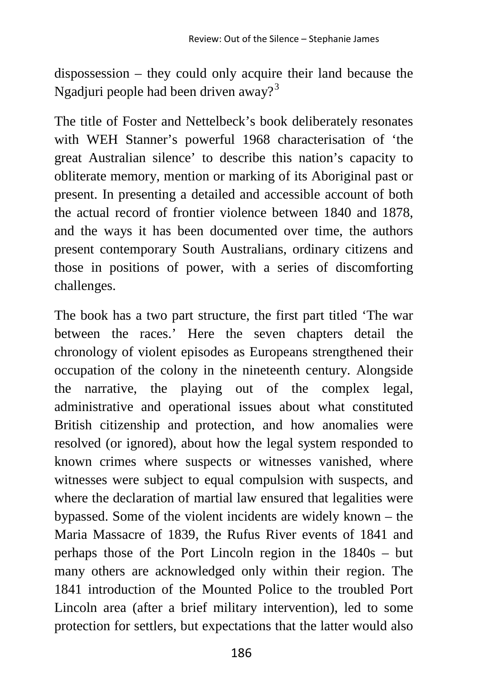dispossession – they could only acquire their land because the Ngadjuri people had been driven away?<sup>[3](#page--1-2)</sup>

The title of Foster and Nettelbeck's book deliberately resonates with WEH Stanner's powerful 1968 characterisation of 'the great Australian silence' to describe this nation's capacity to obliterate memory, mention or marking of its Aboriginal past or present. In presenting a detailed and accessible account of both the actual record of frontier violence between 1840 and 1878, and the ways it has been documented over time, the authors present contemporary South Australians, ordinary citizens and those in positions of power, with a series of discomforting challenges.

The book has a two part structure, the first part titled 'The war between the races.' Here the seven chapters detail the chronology of violent episodes as Europeans strengthened their occupation of the colony in the nineteenth century. Alongside the narrative, the playing out of the complex legal, administrative and operational issues about what constituted British citizenship and protection, and how anomalies were resolved (or ignored), about how the legal system responded to known crimes where suspects or witnesses vanished, where witnesses were subject to equal compulsion with suspects, and where the declaration of martial law ensured that legalities were bypassed. Some of the violent incidents are widely known – the Maria Massacre of 1839, the Rufus River events of 1841 and perhaps those of the Port Lincoln region in the 1840s – but many others are acknowledged only within their region. The 1841 introduction of the Mounted Police to the troubled Port Lincoln area (after a brief military intervention), led to some protection for settlers, but expectations that the latter would also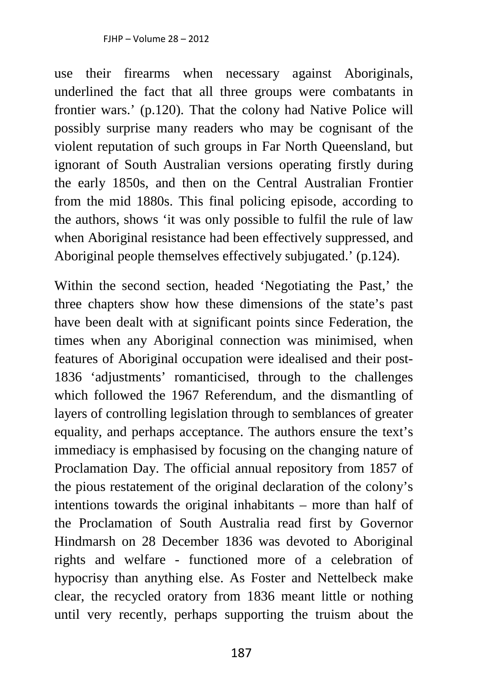use their firearms when necessary against Aboriginals, underlined the fact that all three groups were combatants in frontier wars.' (p.120). That the colony had Native Police will possibly surprise many readers who may be cognisant of the violent reputation of such groups in Far North Queensland, but ignorant of South Australian versions operating firstly during the early 1850s, and then on the Central Australian Frontier from the mid 1880s. This final policing episode, according to the authors, shows 'it was only possible to fulfil the rule of law when Aboriginal resistance had been effectively suppressed, and Aboriginal people themselves effectively subjugated.' (p.124).

Within the second section, headed 'Negotiating the Past,' the three chapters show how these dimensions of the state's past have been dealt with at significant points since Federation, the times when any Aboriginal connection was minimised, when features of Aboriginal occupation were idealised and their post-1836 'adjustments' romanticised, through to the challenges which followed the 1967 Referendum, and the dismantling of layers of controlling legislation through to semblances of greater equality, and perhaps acceptance. The authors ensure the text's immediacy is emphasised by focusing on the changing nature of Proclamation Day. The official annual repository from 1857 of the pious restatement of the original declaration of the colony's intentions towards the original inhabitants – more than half of the Proclamation of South Australia read first by Governor Hindmarsh on 28 December 1836 was devoted to Aboriginal rights and welfare - functioned more of a celebration of hypocrisy than anything else. As Foster and Nettelbeck make clear, the recycled oratory from 1836 meant little or nothing until very recently, perhaps supporting the truism about the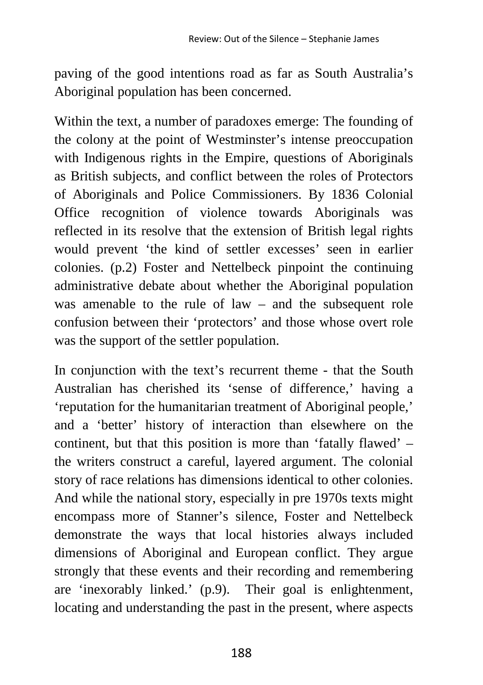paving of the good intentions road as far as South Australia's Aboriginal population has been concerned.

Within the text, a number of paradoxes emerge: The founding of the colony at the point of Westminster's intense preoccupation with Indigenous rights in the Empire, questions of Aboriginals as British subjects, and conflict between the roles of Protectors of Aboriginals and Police Commissioners. By 1836 Colonial Office recognition of violence towards Aboriginals was reflected in its resolve that the extension of British legal rights would prevent 'the kind of settler excesses' seen in earlier colonies. (p.2) Foster and Nettelbeck pinpoint the continuing administrative debate about whether the Aboriginal population was amenable to the rule of law – and the subsequent role confusion between their 'protectors' and those whose overt role was the support of the settler population.

In conjunction with the text's recurrent theme - that the South Australian has cherished its 'sense of difference,' having a 'reputation for the humanitarian treatment of Aboriginal people,' and a 'better' history of interaction than elsewhere on the continent, but that this position is more than 'fatally flawed' – the writers construct a careful, layered argument. The colonial story of race relations has dimensions identical to other colonies. And while the national story, especially in pre 1970s texts might encompass more of Stanner's silence, Foster and Nettelbeck demonstrate the ways that local histories always included dimensions of Aboriginal and European conflict. They argue strongly that these events and their recording and remembering are 'inexorably linked.' (p.9). Their goal is enlightenment, locating and understanding the past in the present, where aspects